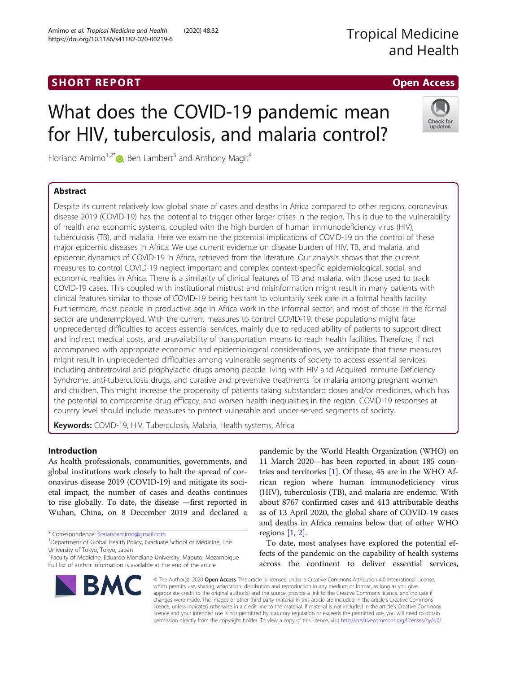What does the COVID-19 pandemic mean

for HIV, tuberculosis, and malaria control?

# SHORT REPORT NAMEL AND THE SHORT CONSTRUCTION OPEN ACCESS AND THE SHORT CONSTRUCT OF THE SHORT CONSTRUCTION OF THE SHORT CONSTRUCTION OF THE SHORT CONSTRUCTION OF THE SHORT CONSTRUCTION OF THE SHORT CONSTRUCTION OF THE SHO

# Check for updates

Floriano Amimo<sup>1[,](http://orcid.org/0000-0003-1460-9522)2\*</sup>  $\bullet$ , Ben Lambert<sup>3</sup> and Anthony Magit<sup>4</sup>

# Abstract

Despite its current relatively low global share of cases and deaths in Africa compared to other regions, coronavirus disease 2019 (COVID-19) has the potential to trigger other larger crises in the region. This is due to the vulnerability of health and economic systems, coupled with the high burden of human immunodeficiency virus (HIV), tuberculosis (TB), and malaria. Here we examine the potential implications of COVID-19 on the control of these major epidemic diseases in Africa. We use current evidence on disease burden of HIV, TB, and malaria, and epidemic dynamics of COVID-19 in Africa, retrieved from the literature. Our analysis shows that the current measures to control COVID-19 neglect important and complex context-specific epidemiological, social, and economic realities in Africa. There is a similarity of clinical features of TB and malaria, with those used to track COVID-19 cases. This coupled with institutional mistrust and misinformation might result in many patients with clinical features similar to those of COVID-19 being hesitant to voluntarily seek care in a formal health facility. Furthermore, most people in productive age in Africa work in the informal sector, and most of those in the formal sector are underemployed. With the current measures to control COVID-19, these populations might face unprecedented difficulties to access essential services, mainly due to reduced ability of patients to support direct and indirect medical costs, and unavailability of transportation means to reach health facilities. Therefore, if not accompanied with appropriate economic and epidemiological considerations, we anticipate that these measures might result in unprecedented difficulties among vulnerable segments of society to access essential services, including antiretroviral and prophylactic drugs among people living with HIV and Acquired Immune Deficiency Syndrome, anti-tuberculosis drugs, and curative and preventive treatments for malaria among pregnant women and children. This might increase the propensity of patients taking substandard doses and/or medicines, which has the potential to compromise drug efficacy, and worsen health inequalities in the region. COVID-19 responses at country level should include measures to protect vulnerable and under-served segments of society.

Keywords: COVID-19, HIV, Tuberculosis, Malaria, Health systems, Africa

## Introduction

As health professionals, communities, governments, and global institutions work closely to halt the spread of coronavirus disease 2019 (COVID-19) and mitigate its societal impact, the number of cases and deaths continues to rise globally. To date, the disease —first reported in Wuhan, China, on 8 December 2019 and declared a

pandemic by the World Health Organization (WHO) on 11 March 2020—has been reported in about 185 countries and territories [\[1](#page-3-0)]. Of these, 45 are in the WHO African region where human immunodeficiency virus (HIV), tuberculosis (TB), and malaria are endemic. With about 8767 confirmed cases and 413 attributable deaths as of 13 April 2020, the global share of COVID-19 cases and deaths in Africa remains below that of other WHO regions  $[1, 2]$  $[1, 2]$  $[1, 2]$  $[1, 2]$ .

To date, most analyses have explored the potential effects of the pandemic on the capability of health systems across the continent to deliver essential services,



© The Author(s). 2020 Open Access This article is licensed under a Creative Commons Attribution 4.0 International License, which permits use, sharing, adaptation, distribution and reproduction in any medium or format, as long as you give appropriate credit to the original author(s) and the source, provide a link to the Creative Commons licence, and indicate if changes were made. The images or other third party material in this article are included in the article's Creative Commons licence, unless indicated otherwise in a credit line to the material. If material is not included in the article's Creative Commons licence and your intended use is not permitted by statutory regulation or exceeds the permitted use, you will need to obtain permission directly from the copyright holder. To view a copy of this licence, visit [http://creativecommons.org/licenses/by/4.0/.](http://creativecommons.org/licenses/by/4.0/)

<sup>\*</sup> Correspondence: [florianoamimo@gmail.com](mailto:florianoamimo@gmail.com) <sup>1</sup>

<sup>&</sup>lt;sup>1</sup>Department of Global Health Policy, Graduate School of Medicine, The University of Tokyo, Tokyo, Japan

<sup>&</sup>lt;sup>2</sup> Faculty of Medicine, Eduardo Mondlane University, Maputo, Mozambique Full list of author information is available at the end of the article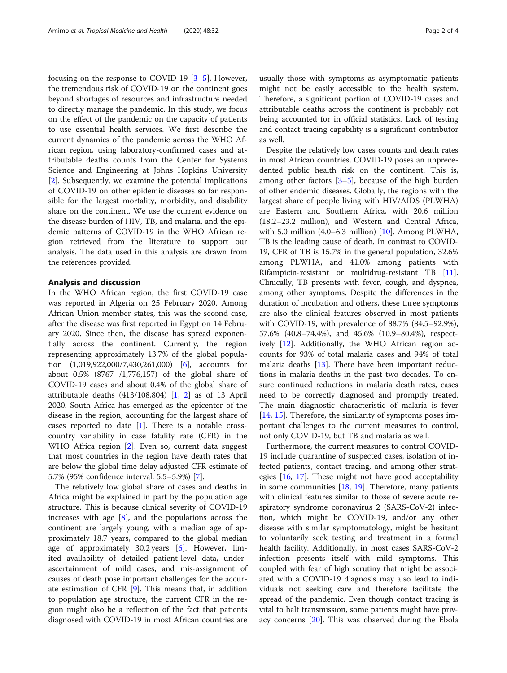focusing on the response to COVID-19 [\[3](#page-3-0)–[5](#page-3-0)]. However, the tremendous risk of COVID-19 on the continent goes beyond shortages of resources and infrastructure needed to directly manage the pandemic. In this study, we focus on the effect of the pandemic on the capacity of patients to use essential health services. We first describe the current dynamics of the pandemic across the WHO African region, using laboratory-confirmed cases and attributable deaths counts from the Center for Systems Science and Engineering at Johns Hopkins University [[2\]](#page-3-0). Subsequently, we examine the potential implications of COVID-19 on other epidemic diseases so far responsible for the largest mortality, morbidity, and disability share on the continent. We use the current evidence on the disease burden of HIV, TB, and malaria, and the epidemic patterns of COVID-19 in the WHO African region retrieved from the literature to support our analysis. The data used in this analysis are drawn from the references provided.

#### Analysis and discussion

In the WHO African region, the first COVID-19 case was reported in Algeria on 25 February 2020. Among African Union member states, this was the second case, after the disease was first reported in Egypt on 14 February 2020. Since then, the disease has spread exponentially across the continent. Currently, the region representing approximately 13.7% of the global population (1,019,922,000/7,430,261,000) [[6\]](#page-3-0), accounts for about 0.5% (8767 /1,776,157) of the global share of COVID-19 cases and about 0.4% of the global share of attributable deaths (413/108,804) [\[1,](#page-3-0) [2\]](#page-3-0) as of 13 April 2020. South Africa has emerged as the epicenter of the disease in the region, accounting for the largest share of cases reported to date  $[1]$ . There is a notable crosscountry variability in case fatality rate (CFR) in the WHO Africa region [\[2](#page-3-0)]. Even so, current data suggest that most countries in the region have death rates that are below the global time delay adjusted CFR estimate of 5.7% (95% confidence interval: 5.5–5.9%) [\[7\]](#page-3-0).

The relatively low global share of cases and deaths in Africa might be explained in part by the population age structure. This is because clinical severity of COVID-19 increases with age  $[8]$  $[8]$ , and the populations across the continent are largely young, with a median age of approximately 18.7 years, compared to the global median age of approximately 30.2 years [\[6](#page-3-0)]. However, limited availability of detailed patient-level data, underascertainment of mild cases, and mis-assignment of causes of death pose important challenges for the accurate estimation of CFR  $[9]$  $[9]$ . This means that, in addition to population age structure, the current CFR in the region might also be a reflection of the fact that patients diagnosed with COVID-19 in most African countries are

usually those with symptoms as asymptomatic patients might not be easily accessible to the health system. Therefore, a significant portion of COVID-19 cases and attributable deaths across the continent is probably not being accounted for in official statistics. Lack of testing and contact tracing capability is a significant contributor as well.

Despite the relatively low cases counts and death rates in most African countries, COVID-19 poses an unprecedented public health risk on the continent. This is, among other factors  $[3-5]$  $[3-5]$  $[3-5]$ , because of the high burden of other endemic diseases. Globally, the regions with the largest share of people living with HIV/AIDS (PLWHA) are Eastern and Southern Africa, with 20.6 million (18.2–23.2 million), and Western and Central Africa, with 5.0 million (4.0–6.3 million) [[10\]](#page-3-0). Among PLWHA, TB is the leading cause of death. In contrast to COVID-19, CFR of TB is 15.7% in the general population, 32.6% among PLWHA, and 41.0% among patients with Rifampicin-resistant or multidrug-resistant TB [\[11](#page-3-0)]. Clinically, TB presents with fever, cough, and dyspnea, among other symptoms. Despite the differences in the duration of incubation and others, these three symptoms are also the clinical features observed in most patients with COVID-19, with prevalence of 88.7% (84.5–92.9%), 57.6% (40.8–74.4%), and 45.6% (10.9–80.4%), respectively [[12\]](#page-3-0). Additionally, the WHO African region accounts for 93% of total malaria cases and 94% of total malaria deaths [[13\]](#page-3-0). There have been important reductions in malaria deaths in the past two decades. To ensure continued reductions in malaria death rates, cases need to be correctly diagnosed and promptly treated. The main diagnostic characteristic of malaria is fever [[14,](#page-3-0) [15\]](#page-3-0). Therefore, the similarity of symptoms poses important challenges to the current measures to control, not only COVID-19, but TB and malaria as well.

Furthermore, the current measures to control COVID-19 include quarantine of suspected cases, isolation of infected patients, contact tracing, and among other strategies [[16,](#page-3-0) [17\]](#page-3-0). These might not have good acceptability in some communities [[18,](#page-3-0) [19\]](#page-3-0). Therefore, many patients with clinical features similar to those of severe acute respiratory syndrome coronavirus 2 (SARS-CoV-2) infection, which might be COVID-19, and/or any other disease with similar symptomatology, might be hesitant to voluntarily seek testing and treatment in a formal health facility. Additionally, in most cases SARS-CoV-2 infection presents itself with mild symptoms. This coupled with fear of high scrutiny that might be associated with a COVID-19 diagnosis may also lead to individuals not seeking care and therefore facilitate the spread of the pandemic. Even though contact tracing is vital to halt transmission, some patients might have privacy concerns [\[20\]](#page-3-0). This was observed during the Ebola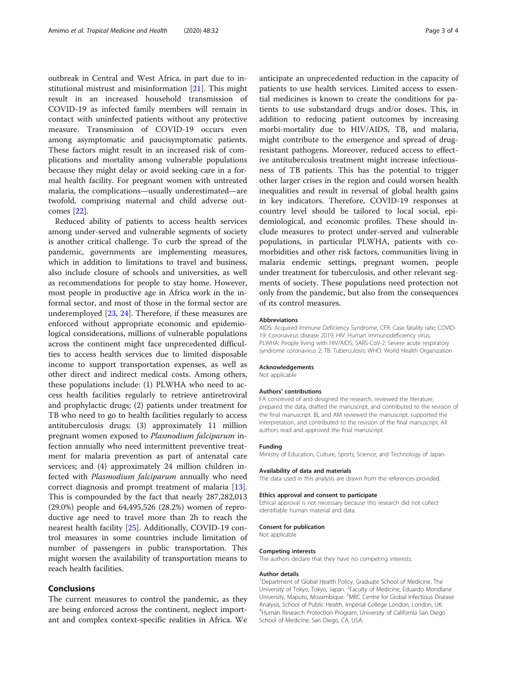outbreak in Central and West Africa, in part due to institutional mistrust and misinformation [\[21](#page-3-0)]. This might result in an increased household transmission of COVID-19 as infected family members will remain in contact with uninfected patients without any protective measure. Transmission of COVID-19 occurs even among asymptomatic and paucisymptomatic patients. These factors might result in an increased risk of complications and mortality among vulnerable populations because they might delay or avoid seeking care in a formal health facility. For pregnant women with untreated malaria, the complications—usually underestimated—are twofold, comprising maternal and child adverse outcomes [[22](#page-3-0)].

Reduced ability of patients to access health services among under-served and vulnerable segments of society is another critical challenge. To curb the spread of the pandemic, governments are implementing measures, which in addition to limitations to travel and business, also include closure of schools and universities, as well as recommendations for people to stay home. However, most people in productive age in Africa work in the informal sector, and most of those in the formal sector are underemployed [\[23](#page-3-0), [24](#page-3-0)]. Therefore, if these measures are enforced without appropriate economic and epidemiological considerations, millions of vulnerable populations across the continent might face unprecedented difficulties to access health services due to limited disposable income to support transportation expenses, as well as other direct and indirect medical costs. Among others, these populations include: (1) PLWHA who need to access health facilities regularly to retrieve antiretroviral and prophylactic drugs; (2) patients under treatment for TB who need to go to health facilities regularly to access antituberculosis drugs; (3) approximately 11 million pregnant women exposed to Plasmodium falciparum infection annually who need intermittent preventive treatment for malaria prevention as part of antenatal care services; and (4) approximately 24 million children infected with Plasmodium falciparum annually who need correct diagnosis and prompt treatment of malaria [\[13](#page-3-0)]. This is compounded by the fact that nearly 287,282,013 (29.0%) people and 64,495,526 (28.2%) women of reproductive age need to travel more than 2h to reach the nearest health facility [\[25](#page-3-0)]. Additionally, COVID-19 control measures in some countries include limitation of number of passengers in public transportation. This might worsen the availability of transportation means to reach health facilities.

#### Conclusions

The current measures to control the pandemic, as they are being enforced across the continent, neglect important and complex context-specific realities in Africa. We

anticipate an unprecedented reduction in the capacity of patients to use health services. Limited access to essential medicines is known to create the conditions for patients to use substandard drugs and/or doses. This, in addition to reducing patient outcomes by increasing morbi-mortality due to HIV/AIDS, TB, and malaria, might contribute to the emergence and spread of drugresistant pathogens. Moreover, reduced access to effective antituberculosis treatment might increase infectiousness of TB patients. This has the potential to trigger other larger crises in the region and could worsen health inequalities and result in reversal of global health gains in key indicators. Therefore, COVID-19 responses at country level should be tailored to local social, epidemiological, and economic profiles. These should include measures to protect under-served and vulnerable populations, in particular PLWHA, patients with comorbidities and other risk factors, communities living in malaria endemic settings, pregnant women, people under treatment for tuberculosis, and other relevant segments of society. These populations need protection not only from the pandemic, but also from the consequences of its control measures.

#### Abbreviations

AIDS: Acquired Immune Deficiency Syndrome; CFR: Case fatality rate; COVID-19: Coronavirus disease 2019; HIV: Human immunodeficiency virus; PLWHA: People living with HIV/AIDS; SARS-CoV-2: Severe acute respiratory syndrome coronavirus 2; TB: Tuberculosis; WHO: World Health Organization

#### Acknowledgements

Not applicable

#### Authors' contributions

FA conceived of and designed the research, reviewed the literature, prepared the data, drafted the manuscript, and contributed to the revision of the final manuscript. BL and AM reviewed the manuscript, supported the interpretation, and contributed to the revision of the final manuscript. All authors read and approved the final manuscript.

#### Funding

Ministry of Education, Culture, Sports, Science, and Technology of Japan.

#### Availability of data and materials

The data used in this analysis are drawn from the references provided.

#### Ethics approval and consent to participate

Ethical approval is not necessary because this research did not collect identifiable human material and data.

#### Consent for publication

Not applicable

#### Competing interests

The authors declare that they have no competing interests.

#### Author details

<sup>1</sup>Department of Global Health Policy, Graduate School of Medicine, The University of Tokyo, Tokyo, Japan. <sup>2</sup> Faculty of Medicine, Eduardo Mondlane University, Maputo, Mozambique. <sup>3</sup>MRC Centre for Global Infectious Disease Analysis, School of Public Health, Imperial College London, London, UK. 4 Human Research Protection Program, University of California San Diego School of Medicine, San Diego, CA, USA.